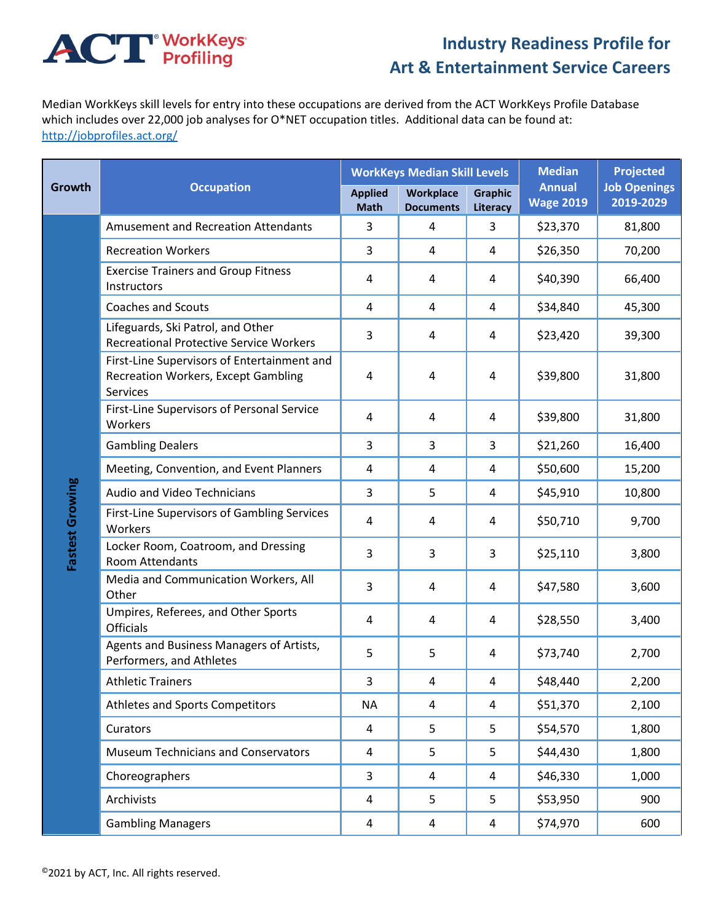## **ACT** WorkKeys

## **Industry Readiness Profile for Art & Entertainment Service Careers**

Median WorkKeys skill levels for entry into these occupations are derived from the ACT WorkKeys Profile Database which includes over 22,000 job analyses for O\*NET occupation titles. Additional data can be found at: <http://jobprofiles.act.org/>

| Growth          | <b>Occupation</b>                                                                                     |                               | <b>WorkKeys Median Skill Levels</b> |                            | <b>Median</b>                     | <b>Projected</b>                 |
|-----------------|-------------------------------------------------------------------------------------------------------|-------------------------------|-------------------------------------|----------------------------|-----------------------------------|----------------------------------|
|                 |                                                                                                       | <b>Applied</b><br><b>Math</b> | Workplace<br><b>Documents</b>       | <b>Graphic</b><br>Literacy | <b>Annual</b><br><b>Wage 2019</b> | <b>Job Openings</b><br>2019-2029 |
| Fastest Growing | <b>Amusement and Recreation Attendants</b>                                                            | 3                             | $\overline{4}$                      | 3                          | \$23,370                          | 81,800                           |
|                 | <b>Recreation Workers</b>                                                                             | 3                             | 4                                   | 4                          | \$26,350                          | 70,200                           |
|                 | <b>Exercise Trainers and Group Fitness</b><br>Instructors                                             | 4                             | 4                                   | 4                          | \$40,390                          | 66,400                           |
|                 | <b>Coaches and Scouts</b>                                                                             | 4                             | $\overline{4}$                      | 4                          | \$34,840                          | 45,300                           |
|                 | Lifeguards, Ski Patrol, and Other<br><b>Recreational Protective Service Workers</b>                   | 3                             | 4                                   | 4                          | \$23,420                          | 39,300                           |
|                 | First-Line Supervisors of Entertainment and<br><b>Recreation Workers, Except Gambling</b><br>Services | 4                             | $\overline{4}$                      | 4                          | \$39,800                          | 31,800                           |
|                 | First-Line Supervisors of Personal Service<br>Workers                                                 | 4                             | $\overline{4}$                      | 4                          | \$39,800                          | 31,800                           |
|                 | <b>Gambling Dealers</b>                                                                               | 3                             | 3                                   | 3                          | \$21,260                          | 16,400                           |
|                 | Meeting, Convention, and Event Planners                                                               | 4                             | 4                                   | 4                          | \$50,600                          | 15,200                           |
|                 | <b>Audio and Video Technicians</b>                                                                    | 3                             | 5                                   | 4                          | \$45,910                          | 10,800                           |
|                 | First-Line Supervisors of Gambling Services<br>Workers                                                | 4                             | 4                                   | 4                          | \$50,710                          | 9,700                            |
|                 | Locker Room, Coatroom, and Dressing<br>Room Attendants                                                | 3                             | 3                                   | 3                          | \$25,110                          | 3,800                            |
|                 | Media and Communication Workers, All<br>Other                                                         | 3                             | 4                                   | 4                          | \$47,580                          | 3,600                            |
|                 | Umpires, Referees, and Other Sports<br><b>Officials</b>                                               | $\overline{4}$                | $\overline{4}$                      | 4                          | \$28,550                          | 3,400                            |
|                 | Agents and Business Managers of Artists,<br>Performers, and Athletes                                  | 5                             | 5                                   | 4                          | \$73,740                          | 2,700                            |
|                 | <b>Athletic Trainers</b>                                                                              | 3                             | 4                                   | 4                          | \$48,440                          | 2,200                            |
|                 | Athletes and Sports Competitors                                                                       | <b>NA</b>                     | 4                                   | 4                          | \$51,370                          | 2,100                            |
|                 | Curators                                                                                              | 4                             | 5                                   | 5                          | \$54,570                          | 1,800                            |
|                 | <b>Museum Technicians and Conservators</b>                                                            | 4                             | 5                                   | 5                          | \$44,430                          | 1,800                            |
|                 | Choreographers                                                                                        | 3                             | 4                                   | 4                          | \$46,330                          | 1,000                            |
|                 | Archivists                                                                                            | $\overline{4}$                | 5                                   | 5                          | \$53,950                          | 900                              |
|                 | <b>Gambling Managers</b>                                                                              | 4                             | 4                                   | 4                          | \$74,970                          | 600                              |